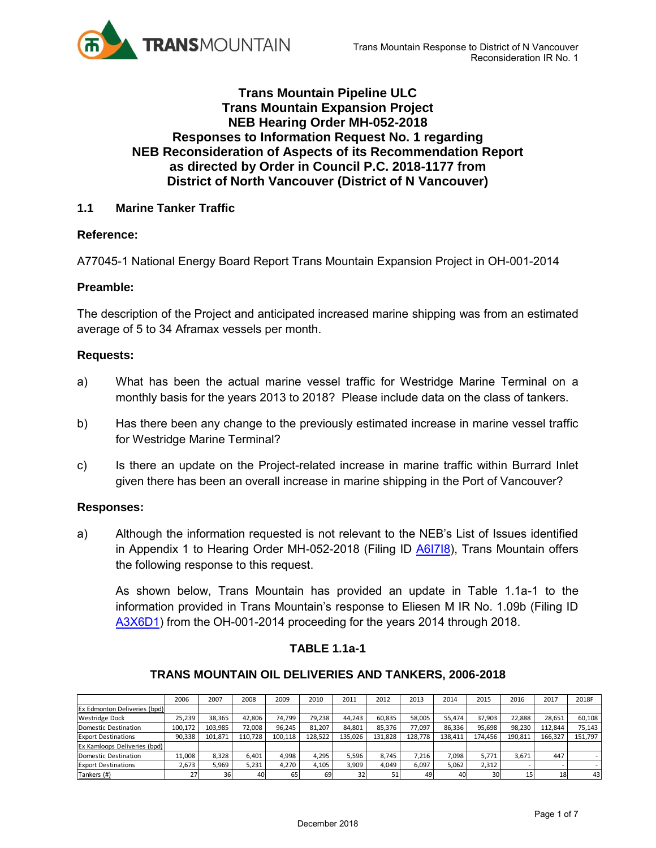

# **Trans Mountain Pipeline ULC Trans Mountain Expansion Project NEB Hearing Order MH-052-2018 Responses to Information Request No. 1 regarding NEB Reconsideration of Aspects of its Recommendation Report as directed by Order in Council P.C. 2018-1177 from District of North Vancouver (District of N Vancouver)**

# **1.1 Marine Tanker Traffic**

# **Reference:**

A77045-1 National Energy Board Report Trans Mountain Expansion Project in OH-001-2014

# **Preamble:**

The description of the Project and anticipated increased marine shipping was from an estimated average of 5 to 34 Aframax vessels per month.

# **Requests:**

- a) What has been the actual marine vessel traffic for Westridge Marine Terminal on a monthly basis for the years 2013 to 2018? Please include data on the class of tankers.
- b) Has there been any change to the previously estimated increase in marine vessel traffic for Westridge Marine Terminal?
- c) Is there an update on the Project-related increase in marine traffic within Burrard Inlet given there has been an overall increase in marine shipping in the Port of Vancouver?

# **Responses:**

a) Although the information requested is not relevant to the NEB's List of Issues identified in Appendix 1 to Hearing Order MH-052-2018 (Filing ID [A6I7I8\)](https://apps.neb-one.gc.ca/REGDOCS/File/Download/3621536), Trans Mountain offers the following response to this request.

As shown below, Trans Mountain has provided an update in Table 1.1a-1 to the information provided in Trans Mountain's response to Eliesen M IR No. 1.09b (Filing ID [A3X6D1\)](https://docs.neb-one.gc.ca/ll-eng/llisapi.dll/open/2478128) from the OH-001-2014 proceeding for the years 2014 through 2018.

# **TABLE 1.1a-1**

#### **TRANS MOUNTAIN OIL DELIVERIES AND TANKERS, 2006-2018**

| <b>TABLE 1.1a-1</b>                                         |         |         |         |         |         |         |         |         |         |         |         |         |         |
|-------------------------------------------------------------|---------|---------|---------|---------|---------|---------|---------|---------|---------|---------|---------|---------|---------|
| <b>TRANS MOUNTAIN OIL DELIVERIES AND TANKERS, 2006-2018</b> |         |         |         |         |         |         |         |         |         |         |         |         |         |
|                                                             | 2006    | 2007    | 2008    | 2009    | 2010    | 2011    | 2012    | 2013    | 2014    | 2015    | 2016    | 2017    | 2018F   |
| Ex Edmonton Deliveries (bpd)                                |         |         |         |         |         |         |         |         |         |         |         |         |         |
| <b>Westridge Dock</b>                                       | 25,239  | 38,365  | 42,806  | 74,799  | 79,238  | 44,243  | 60,835  | 58,005  | 55,474  | 37,903  | 22,888  | 28,651  | 60,108  |
| Domestic Destination                                        | 100,172 | 103,985 | 72,008  | 96,245  | 81,207  | 84,801  | 85,376  | 77,097  | 86,336  | 95,698  | 98,230  | 112,844 | 75,143  |
| <b>Export Destinations</b>                                  | 90,338  | 101,871 | 110,728 | 100,118 | 128,522 | 135,026 | 131,828 | 128,778 | 138,411 | 174,456 | 190,811 | 166,327 | 151,797 |
| Ex Kamloops Deliveries (bpd)                                |         |         |         |         |         |         |         |         |         |         |         |         |         |
| Domestic Destination                                        | 11,008  | 8,328   | 6,401   | 4,998   | 4,295   | 5,596   | 8.745   | 7,216   | 7,098   | 5,771   | 3,671   | 447     |         |
| <b>Export Destinations</b>                                  | 2,673   | 5,969   | 5,231   | 4,270   | 4,105   | 3,909   | 4,049   | 6,097   | 5,062   | 2,312   |         |         |         |
| Tankers (#)                                                 | 27      | 36      | 40      | 65      | 69      | 32      | 51      | 49      | 40      | 30      | 15      | 18      | 43      |
|                                                             |         |         |         |         |         |         |         |         |         |         |         |         |         |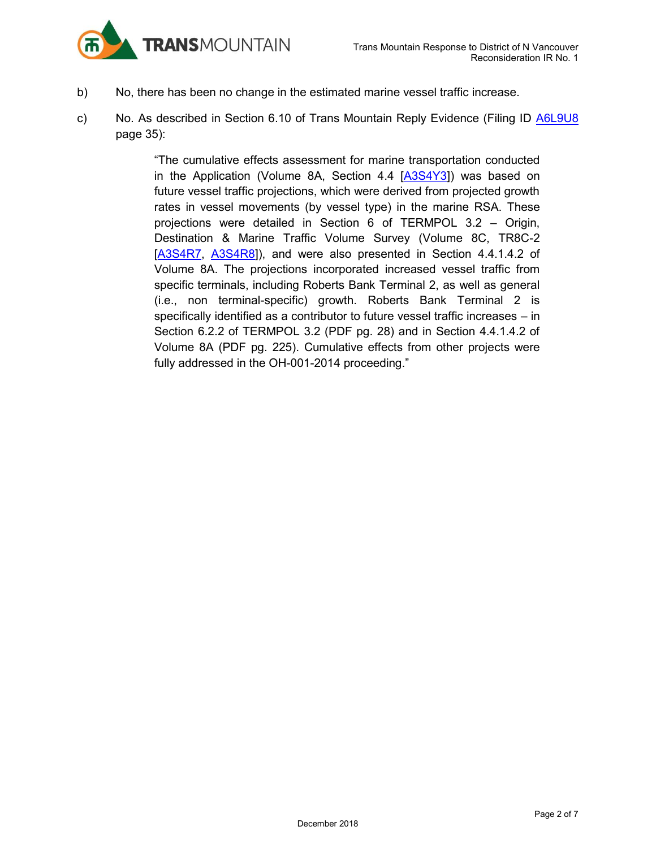

- b) No, there has been no change in the estimated marine vessel traffic increase.
- c) No. As described in Section 6.10 of Trans Mountain Reply Evidence (Filing ID [A6L9U8](https://apps.neb-one.gc.ca/REGDOCS/File/Download/3723554) page 35):

"The cumulative effects assessment for marine transportation conducted in the Application (Volume 8A, Section 4.4 [\[A3S4Y3\]](https://apps.neb-one.gc.ca/REGDOCS/File/Download/2393882)) was based on future vessel traffic projections, which were derived from projected growth rates in vessel movements (by vessel type) in the marine RSA. These projections were detailed in Section 6 of TERMPOL 3.2 – Origin, Destination & Marine Traffic Volume Survey (Volume 8C, TR8C-2 [\[A3S4R7,](https://apps.neb-one.gc.ca/REGDOCS/File/Download/2393617) [A3S4R8\]](https://apps.neb-one.gc.ca/REGDOCS/File/Download/2393050)), and were also presented in Section 4.4.1.4.2 of Volume 8A. The projections incorporated increased vessel traffic from specific terminals, including Roberts Bank Terminal 2, as well as general (i.e., non terminal-specific) growth. Roberts Bank Terminal 2 is specifically identified as a contributor to future vessel traffic increases – in Section 6.2.2 of TERMPOL 3.2 (PDF pg. 28) and in Section 4.4.1.4.2 of Volume 8A (PDF pg. 225). Cumulative effects from other projects were fully addressed in the OH-001-2014 proceeding."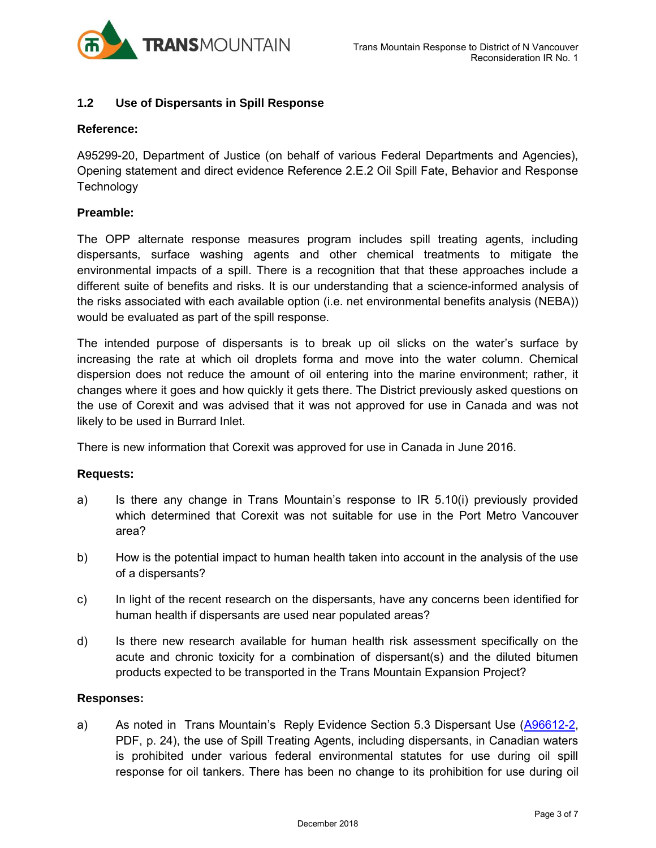

# **1.2 Use of Dispersants in Spill Response**

# **Reference:**

A95299-20, Department of Justice (on behalf of various Federal Departments and Agencies), Opening statement and direct evidence Reference 2.E.2 Oil Spill Fate, Behavior and Response **Technology** 

# **Preamble:**

The OPP alternate response measures program includes spill treating agents, including dispersants, surface washing agents and other chemical treatments to mitigate the environmental impacts of a spill. There is a recognition that that these approaches include a different suite of benefits and risks. It is our understanding that a science-informed analysis of the risks associated with each available option (i.e. net environmental benefits analysis (NEBA)) would be evaluated as part of the spill response.

The intended purpose of dispersants is to break up oil slicks on the water's surface by increasing the rate at which oil droplets forma and move into the water column. Chemical dispersion does not reduce the amount of oil entering into the marine environment; rather, it changes where it goes and how quickly it gets there. The District previously asked questions on the use of Corexit and was advised that it was not approved for use in Canada and was not likely to be used in Burrard Inlet.

There is new information that Corexit was approved for use in Canada in June 2016.

# **Requests:**

- a) Is there any change in Trans Mountain's response to IR 5.10(i) previously provided which determined that Corexit was not suitable for use in the Port Metro Vancouver area?
- b) How is the potential impact to human health taken into account in the analysis of the use of a dispersants?
- c) In light of the recent research on the dispersants, have any concerns been identified for human health if dispersants are used near populated areas?
- d) Is there new research available for human health risk assessment specifically on the acute and chronic toxicity for a combination of dispersant(s) and the diluted bitumen products expected to be transported in the Trans Mountain Expansion Project?

# **Responses:**

a) As noted in Trans Mountain's Reply Evidence Section 5.3 Dispersant Use [\(A96612-2,](https://apps.neb-one.gc.ca/REGDOCS/File/Download/3723554) PDF, p. 24), the use of Spill Treating Agents, including dispersants, in Canadian waters is prohibited under various federal environmental statutes for use during oil spill response for oil tankers. There has been no change to its prohibition for use during oil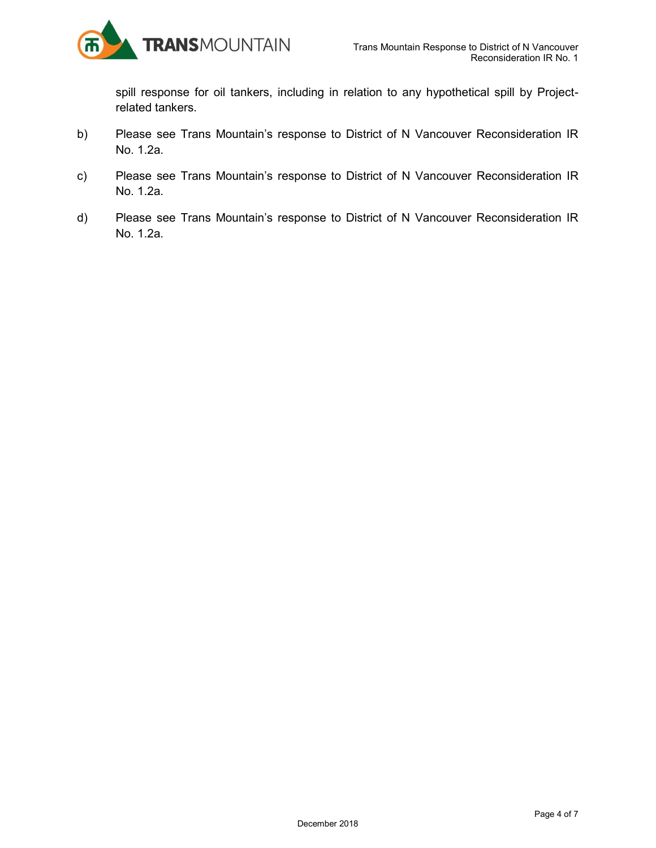

spill response for oil tankers, including in relation to any hypothetical spill by Projectrelated tankers.

- b) Please see Trans Mountain's response to District of N Vancouver Reconsideration IR No. 1.2a.
- c) Please see Trans Mountain's response to District of N Vancouver Reconsideration IR No. 1.2a.
- d) Please see Trans Mountain's response to District of N Vancouver Reconsideration IR No. 1.2a.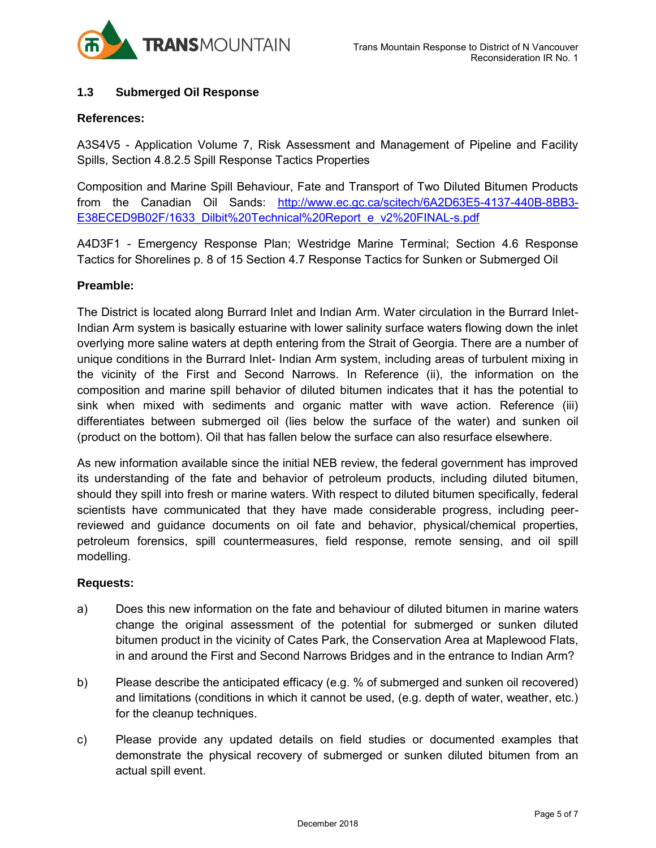

# **1.3 Submerged Oil Response**

#### **References:**

A3S4V5 - Application Volume 7, Risk Assessment and Management of Pipeline and Facility Spills, Section 4.8.2.5 Spill Response Tactics Properties

Composition and Marine Spill Behaviour, Fate and Transport of Two Diluted Bitumen Products from the Canadian Oil Sands: [http://www.ec.gc.ca/scitech/6A2D63E5-4137-440B-8BB3-](http://www.ec.gc.ca/scitech/6A2D63E5-4137-440B-8BB3-%20E38ECED9B02F/1633_Dilbit%20Technical%20Report_e_v2%20FINAL-s.pdf)  [E38ECED9B02F/1633\\_Dilbit%20Technical%20Report\\_e\\_v2%20FINAL-s.pdf](http://www.ec.gc.ca/scitech/6A2D63E5-4137-440B-8BB3-%20E38ECED9B02F/1633_Dilbit%20Technical%20Report_e_v2%20FINAL-s.pdf)

A4D3F1 - Emergency Response Plan; Westridge Marine Terminal; Section 4.6 Response Tactics for Shorelines p. 8 of 15 Section 4.7 Response Tactics for Sunken or Submerged Oil

# **Preamble:**

The District is located along Burrard Inlet and Indian Arm. Water circulation in the Burrard Inlet-Indian Arm system is basically estuarine with lower salinity surface waters flowing down the inlet overlying more saline waters at depth entering from the Strait of Georgia. There are a number of unique conditions in the Burrard Inlet- Indian Arm system, including areas of turbulent mixing in the vicinity of the First and Second Narrows. In Reference (ii), the information on the composition and marine spill behavior of diluted bitumen indicates that it has the potential to sink when mixed with sediments and organic matter with wave action. Reference (iii) differentiates between submerged oil (lies below the surface of the water) and sunken oil (product on the bottom). Oil that has fallen below the surface can also resurface elsewhere.

As new information available since the initial NEB review, the federal government has improved its understanding of the fate and behavior of petroleum products, including diluted bitumen, should they spill into fresh or marine waters. With respect to diluted bitumen specifically, federal scientists have communicated that they have made considerable progress, including peerreviewed and guidance documents on oil fate and behavior, physical/chemical properties, petroleum forensics, spill countermeasures, field response, remote sensing, and oil spill modelling.

#### **Requests:**

- a) Does this new information on the fate and behaviour of diluted bitumen in marine waters change the original assessment of the potential for submerged or sunken diluted bitumen product in the vicinity of Cates Park, the Conservation Area at Maplewood Flats, in and around the First and Second Narrows Bridges and in the entrance to Indian Arm?
- b) Please describe the anticipated efficacy (e.g. % of submerged and sunken oil recovered) and limitations (conditions in which it cannot be used, (e.g. depth of water, weather, etc.) for the cleanup techniques.
- c) Please provide any updated details on field studies or documented examples that demonstrate the physical recovery of submerged or sunken diluted bitumen from an actual spill event.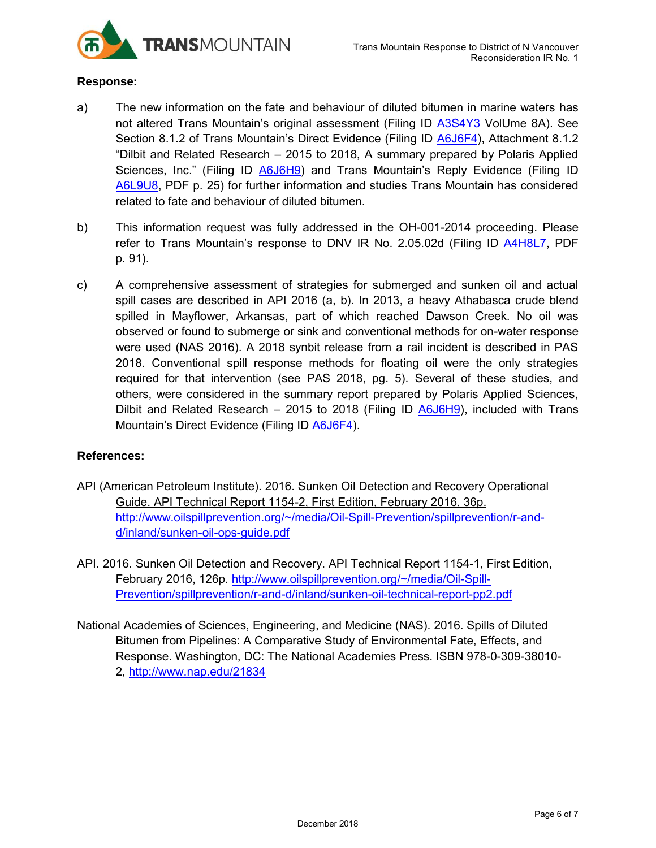

# **Response:**

- a) The new information on the fate and behaviour of diluted bitumen in marine waters has not altered Trans Mountain's original assessment (Filing ID [A3S4Y3](https://apps.neb-one.gc.ca/REGDOCS/File/Download/2393882) VolUme 8A). See Section 8.1.2 of Trans Mountain's Direct Evidence (Filing ID [A6J6F4\)](https://apps.neb-one.gc.ca/REGDOCS/File/Download/3646081), Attachment 8.1.2 "Dilbit and Related Research – 2015 to 2018, A summary prepared by Polaris Applied Sciences, Inc." (Filing ID **A6J6H9**) and Trans Mountain's Reply Evidence (Filing ID [A6L9U8,](https://apps.neb-one.gc.ca/REGDOCS/File/Download/3723554) PDF p. 25) for further information and studies Trans Mountain has considered related to fate and behaviour of diluted bitumen.
- b) This information request was fully addressed in the OH-001-2014 proceeding. Please refer to Trans Mountain's response to DNV IR No. 2.05.02d (Filing ID [A4H8L7,](https://apps.neb-one.gc.ca/REGDOCS/File/Download/2686483) PDF p. 91).
- c) A comprehensive assessment of strategies for submerged and sunken oil and actual spill cases are described in API 2016 (a, b). In 2013, a heavy Athabasca crude blend spilled in Mayflower, Arkansas, part of which reached Dawson Creek. No oil was observed or found to submerge or sink and conventional methods for on-water response were used (NAS 2016). A 2018 synbit release from a rail incident is described in PAS 2018. Conventional spill response methods for floating oil were the only strategies required for that intervention (see PAS 2018, pg. 5). Several of these studies, and others, were considered in the summary report prepared by Polaris Applied Sciences, Dilbit and Related Research – 2015 to 2018 (Filing ID [A6J6H9\)](https://apps.neb-one.gc.ca/REGDOCS/File/Download/3643308), included with Trans Mountain's Direct Evidence (Filing ID [A6J6F4\)](https://apps.neb-one.gc.ca/REGDOCS/File/Download/3646081).

# **References:**

- API (American Petroleum Institute). 2016. Sunken Oil Detection and Recovery Operational Guide. API Technical Report 1154-2, First Edition, February 2016, 36p. [http://www.oilspillprevention.org/~/media/Oil-Spill-Prevention/spillprevention/r-and](http://www.oilspillprevention.org/~/media/Oil-Spill-Prevention/spillprevention/r-and-d/inland/sunken-oil-ops-guide.pdf)[d/inland/sunken-oil-ops-guide.pdf](http://www.oilspillprevention.org/~/media/Oil-Spill-Prevention/spillprevention/r-and-d/inland/sunken-oil-ops-guide.pdf)
- API. 2016. Sunken Oil Detection and Recovery. API Technical Report 1154-1, First Edition, February 2016, 126p. [http://www.oilspillprevention.org/~/media/Oil-Spill-](http://www.oilspillprevention.org/~/media/Oil-Spill-Prevention/spillprevention/r-and-d/inland/sunken-oil-technical-report-pp2.pdf)[Prevention/spillprevention/r-and-d/inland/sunken-oil-technical-report-pp2.pdf](http://www.oilspillprevention.org/~/media/Oil-Spill-Prevention/spillprevention/r-and-d/inland/sunken-oil-technical-report-pp2.pdf)
- National Academies of Sciences, Engineering, and Medicine (NAS). 2016. Spills of Diluted Bitumen from Pipelines: A Comparative Study of Environmental Fate, Effects, and Response. Washington, DC: The National Academies Press. ISBN 978-0-309-38010- 2, <http://www.nap.edu/21834>